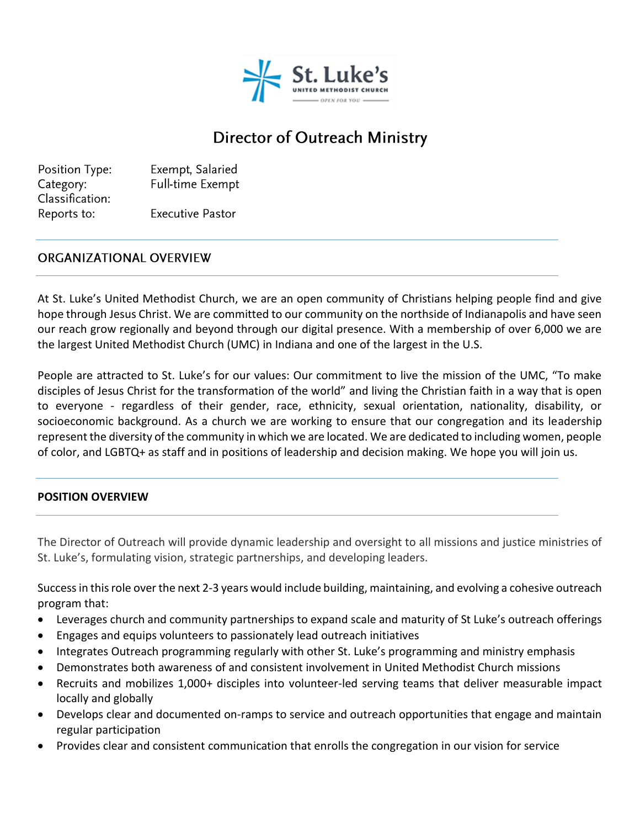

# Director of Outreach Ministry

Position Type: Exempt, Salaried Category: Full-time Exempt Classification: Reports to: **Executive Pastor** 

#### **ORGANIZATIONAL OVERVIEW**

At St. Luke's United Methodist Church, we are an open community of Christians helping people find and give hope through Jesus Christ. We are committed to our community on the northside of Indianapolis and have seen our reach grow regionally and beyond through our digital presence. With a membership of over 6,000 we are the largest United Methodist Church (UMC) in Indiana and one of the largest in the U.S.

People are attracted to St. Luke's for our values: Our commitment to live the mission of the UMC, "To make disciples of Jesus Christ for the transformation of the world" and living the Christian faith in a way that is open to everyone - regardless of their gender, race, ethnicity, sexual orientation, nationality, disability, or socioeconomic background. As a church we are working to ensure that our congregation and its leadership represent the diversity of the community in which we are located. We are dedicated to including women, people of color, and LGBTQ+ as staff and in positions of leadership and decision making. We hope you will join us.

#### **POSITION OVERVIEW**

The Director of Outreach will provide dynamic leadership and oversight to all missions and justice ministries of St. Luke's, formulating vision, strategic partnerships, and developing leaders.

Success in this role over the next 2-3 years would include building, maintaining, and evolving a cohesive outreach program that:

- Leverages church and community partnerships to expand scale and maturity of St Luke's outreach offerings
- Engages and equips volunteers to passionately lead outreach initiatives
- Integrates Outreach programming regularly with other St. Luke's programming and ministry emphasis
- Demonstrates both awareness of and consistent involvement in United Methodist Church missions
- Recruits and mobilizes 1,000+ disciples into volunteer-led serving teams that deliver measurable impact locally and globally
- Develops clear and documented on-ramps to service and outreach opportunities that engage and maintain regular participation
- Provides clear and consistent communication that enrolls the congregation in our vision for service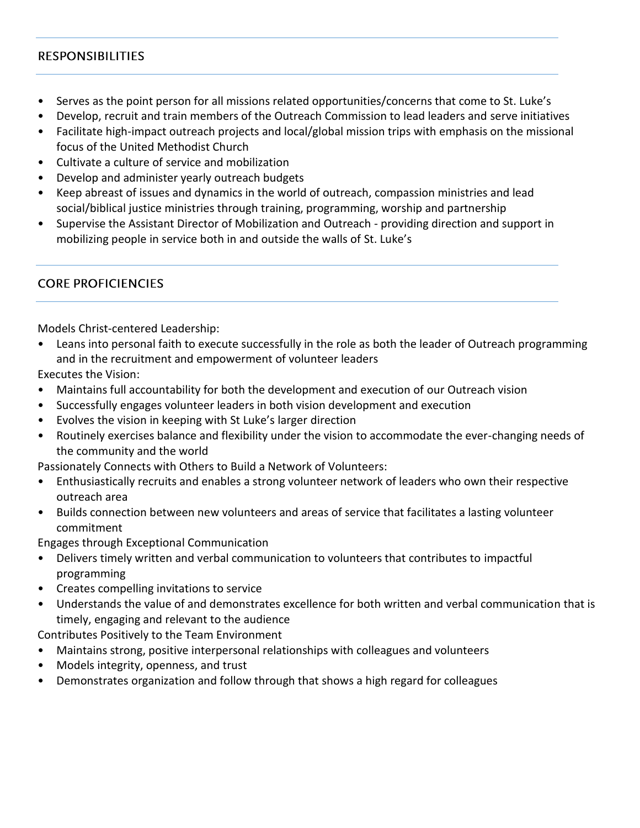### **RESPONSIBILITIES**

- Serves as the point person for all missions related opportunities/concerns that come to St. Luke's
- Develop, recruit and train members of the Outreach Commission to lead leaders and serve initiatives
- Facilitate high-impact outreach projects and local/global mission trips with emphasis on the missional focus of the United Methodist Church
- Cultivate a culture of service and mobilization
- Develop and administer yearly outreach budgets
- Keep abreast of issues and dynamics in the world of outreach, compassion ministries and lead social/biblical justice ministries through training, programming, worship and partnership
- Supervise the Assistant Director of Mobilization and Outreach providing direction and support in mobilizing people in service both in and outside the walls of St. Luke's

## **CORE PROFICIENCIES**

Models Christ-centered Leadership:

• Leans into personal faith to execute successfully in the role as both the leader of Outreach programming and in the recruitment and empowerment of volunteer leaders

Executes the Vision:

- Maintains full accountability for both the development and execution of our Outreach vision
- Successfully engages volunteer leaders in both vision development and execution
- Evolves the vision in keeping with St Luke's larger direction
- Routinely exercises balance and flexibility under the vision to accommodate the ever-changing needs of the community and the world

Passionately Connects with Others to Build a Network of Volunteers:

- Enthusiastically recruits and enables a strong volunteer network of leaders who own their respective outreach area
- Builds connection between new volunteers and areas of service that facilitates a lasting volunteer commitment

Engages through Exceptional Communication

- Delivers timely written and verbal communication to volunteers that contributes to impactful programming
- Creates compelling invitations to service
- Understands the value of and demonstrates excellence for both written and verbal communication that is timely, engaging and relevant to the audience

Contributes Positively to the Team Environment

- Maintains strong, positive interpersonal relationships with colleagues and volunteers
- Models integrity, openness, and trust
- Demonstrates organization and follow through that shows a high regard for colleagues